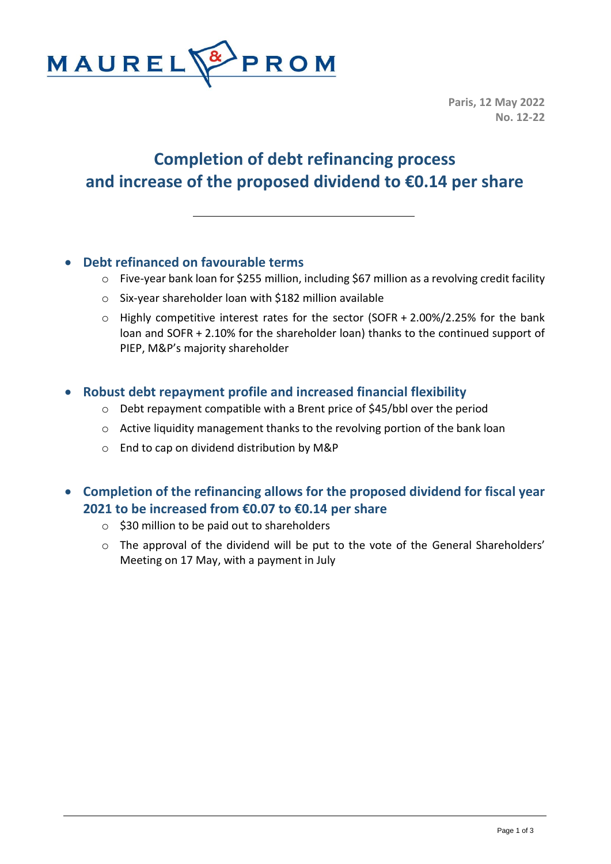

**Paris, 12 May 2022 No. 12-22**

# **Completion of debt refinancing process and increase of the proposed dividend to €0.14 per share**

## **Debt refinanced on favourable terms**

- o Five-year bank loan for \$255 million, including \$67 million as a revolving credit facility
- o Six-year shareholder loan with \$182 million available
- o Highly competitive interest rates for the sector (SOFR + 2.00%/2.25% for the bank loan and SOFR + 2.10% for the shareholder loan) thanks to the continued support of PIEP, M&P's majority shareholder

### **Robust debt repayment profile and increased financial flexibility**

- o Debt repayment compatible with a Brent price of \$45/bbl over the period
- o Active liquidity management thanks to the revolving portion of the bank loan
- o End to cap on dividend distribution by M&P
- **Completion of the refinancing allows for the proposed dividend for fiscal year 2021 to be increased from €0.07 to €0.14 per share**
	- $\circ$  \$30 million to be paid out to shareholders
	- o The approval of the dividend will be put to the vote of the General Shareholders' Meeting on 17 May, with a payment in July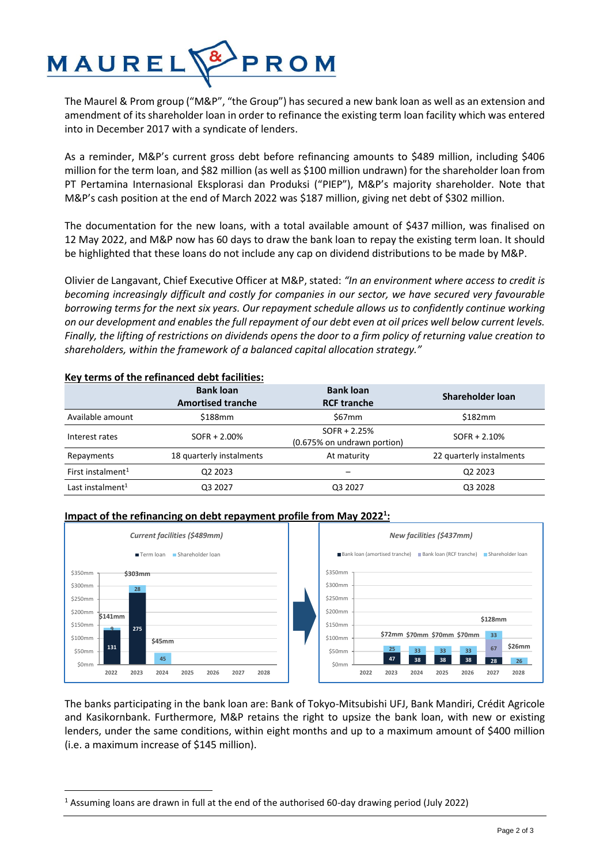

The Maurel & Prom group ("M&P", "the Group") has secured a new bank loan as well as an extension and amendment of its shareholder loan in order to refinance the existing term loan facility which was entered into in December 2017 with a syndicate of lenders.

As a reminder, M&P's current gross debt before refinancing amounts to \$489 million, including \$406 million for the term loan, and \$82 million (as well as \$100 million undrawn) for the shareholder loan from PT Pertamina Internasional Eksplorasi dan Produksi ("PIEP"), M&P's majority shareholder. Note that M&P's cash position at the end of March 2022 was \$187 million, giving net debt of \$302 million.

The documentation for the new loans, with a total available amount of \$437 million, was finalised on 12 May 2022, and M&P now has 60 days to draw the bank loan to repay the existing term loan. It should be highlighted that these loans do not include any cap on dividend distributions to be made by M&P.

Olivier de Langavant, Chief Executive Officer at M&P, stated: *"In an environment where access to credit is becoming increasingly difficult and costly for companies in our sector, we have secured very favourable borrowing terms for the next six years. Our repayment schedule allows us to confidently continue working on our development and enables the full repayment of our debt even at oil prices well below current levels. Finally, the lifting of restrictions on dividends opens the door to a firm policy of returning value creation to shareholders, within the framework of a balanced capital allocation strategy."* 

|                               | <b>Bank loan</b><br><b>Amortised tranche</b> | <b>Bank loan</b><br><b>RCF tranche</b>        | Shareholder loan         |  |
|-------------------------------|----------------------------------------------|-----------------------------------------------|--------------------------|--|
| Available amount              | \$188mm                                      | \$67mm                                        | \$182mm                  |  |
| Interest rates                | $SOFR + 2.00%$                               | $SOFR + 2.25%$<br>(0.675% on undrawn portion) | $SOFR + 2.10%$           |  |
| Repayments                    | 18 quarterly instalments                     | At maturity                                   | 22 quarterly instalments |  |
| First instalment <sup>1</sup> | Q <sub>2</sub> 2023                          |                                               | Q <sub>2</sub> 2023      |  |
| Last instalment <sup>1</sup>  | Q3 2027                                      | Q3 2027                                       | Q3 2028                  |  |

#### **Key terms of the refinanced debt facilities:**

1

#### **Impact of the refinancing on debt repayment profile from May 2022<sup>1</sup> :**



The banks participating in the bank loan are: Bank of Tokyo-Mitsubishi UFJ, Bank Mandiri, Crédit Agricole and Kasikornbank. Furthermore, M&P retains the right to upsize the bank loan, with new or existing lenders, under the same conditions, within eight months and up to a maximum amount of \$400 million (i.e. a maximum increase of \$145 million).

<sup>1</sup> Assuming loans are drawn in full at the end of the authorised 60-day drawing period (July 2022)